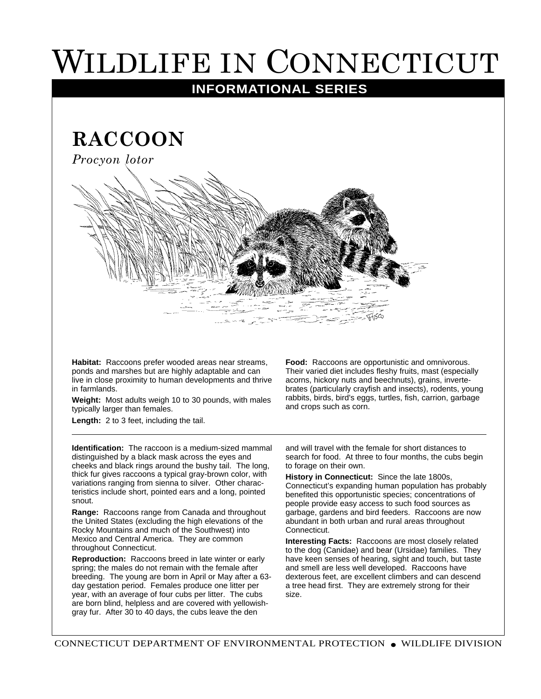## WILDLIFE IN CONNECTICUT

## **INFORMATIONAL SERIES**

**RACCOON**

*Procyon lotor*



**Habitat:** Raccoons prefer wooded areas near streams, ponds and marshes but are highly adaptable and can live in close proximity to human developments and thrive in farmlands.

**Weight:** Most adults weigh 10 to 30 pounds, with males typically larger than females.

Length: 2 to 3 feet, including the tail.

**Identification:** The raccoon is a medium-sized mammal distinguished by a black mask across the eyes and cheeks and black rings around the bushy tail. The long, thick fur gives raccoons a typical gray-brown color, with variations ranging from sienna to silver. Other characteristics include short, pointed ears and a long, pointed snout.

**Range:** Raccoons range from Canada and throughout the United States (excluding the high elevations of the Rocky Mountains and much of the Southwest) into Mexico and Central America. They are common throughout Connecticut.

**Reproduction:** Raccoons breed in late winter or early spring; the males do not remain with the female after breeding. The young are born in April or May after a 63 day gestation period. Females produce one litter per year, with an average of four cubs per litter. The cubs are born blind, helpless and are covered with yellowishgray fur. After 30 to 40 days, the cubs leave the den

**Food:** Raccoons are opportunistic and omnivorous. Their varied diet includes fleshy fruits, mast (especially acorns, hickory nuts and beechnuts), grains, invertebrates (particularly crayfish and insects), rodents, young rabbits, birds, bird's eggs, turtles, fish, carrion, garbage and crops such as corn.

and will travel with the female for short distances to search for food. At three to four months, the cubs begin to forage on their own.

**History in Connecticut:** Since the late 1800s, Connecticut's expanding human population has probably benefited this opportunistic species; concentrations of people provide easy access to such food sources as garbage, gardens and bird feeders. Raccoons are now abundant in both urban and rural areas throughout Connecticut.

**Interesting Facts:** Raccoons are most closely related to the dog (Canidae) and bear (Ursidae) families. They have keen senses of hearing, sight and touch, but taste and smell are less well developed. Raccoons have dexterous feet, are excellent climbers and can descend a tree head first. They are extremely strong for their size.

CONNECTICUT DEPARTMENT OF ENVIRONMENTAL PROTECTION ● WILDLIFE DIVISION